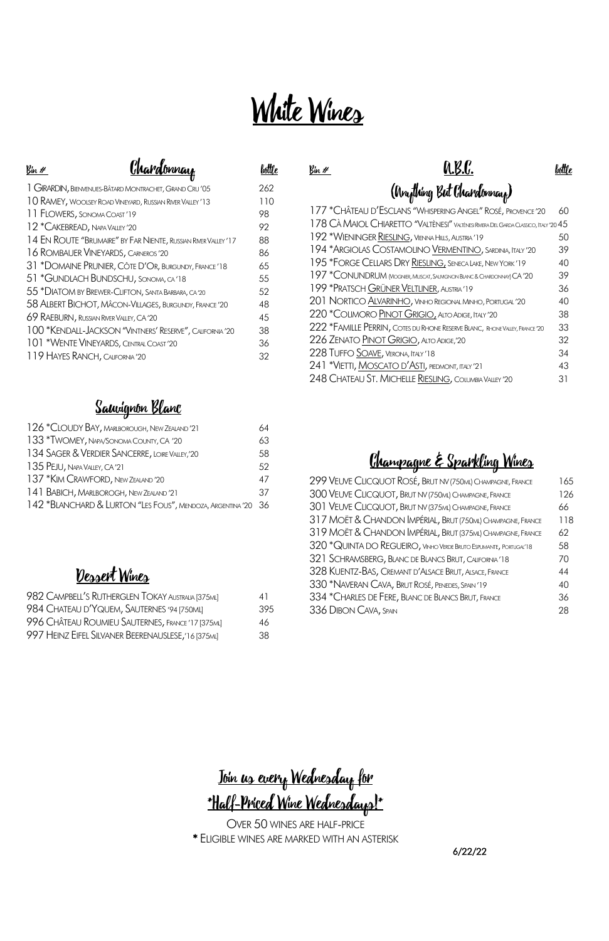| <sup>1</sup> GIRARDIN, BIENVENUES-BÂTARD MONTRACHET, GRAND CRU'05 | 262 |
|-------------------------------------------------------------------|-----|
| 10 RAMEY, WOOLSEY ROAD VINEYARD, RUSSIAN RIVER VALLEY '13         | 110 |
| 11 FLOWERS, SONOMA COAST'19                                       | 98  |
| 12 *CAKEBREAD, NAPA VALLEY '20                                    | 92  |
| 14 EN ROUTE "BRUMAIRE" BY FAR NIENTE, RUSSIAN RIVER VALLEY'17     | 88  |
| 16 ROMBAUER VINEYARDS, CARNEROS'20                                | 86  |
| 31 *DOMAINE PRUNIER, CÔTE D'OR, BURGUNDY, FRANCE'18               | 65  |
| 51 *GUNDLACH BUNDSCHU, SONOMA, CA'18                              | 55  |
| 55 * DIATOM BY BREWER-CLIFTON, SANTA BARBARA, CA'20               | 52  |
| 58 ALBERT BICHOT, MÂCON-VILLAGES, BURGUNDY, FRANCE'20             | 48  |
| 69 RAEBURN, RUSSIAN RIVER VALLEY, CA'20                           | 45  |
| 100 *KENDALL-JACKSON "VINTNERS' RESERVE", CALIFORNIA '20          | 38  |
| 101 *WENTE VINEYARDS, CENTRAL COAST'20                            | 36  |
| 119 HAYES RANCH, CALIFORNIA'20                                    | 32  |
|                                                                   |     |

Sauvignon Blanc

| TZZ - CHATEAU D. LSCLANS - VYHISPERING ANGEL - ROSE, PROVENCE - 20                  | OU. |
|-------------------------------------------------------------------------------------|-----|
| 178 CÀ MAIOL CHIARETTO "VALTÈNESI" VALTÈNESI RMERA DEL GARDA CLASSICO, ITALY '20 45 |     |
| 192 *WIENINGER RIESLING, VIENNA HILLS, AUSTRIA'19                                   | 50  |
| 194 *ARGIOLAS COSTAMOLINO VERMENTINO, SARDINIA, ITALY '20                           | 39  |
| 195 *FORGE CELLARS DRY RIESLING, SENECA LAKE, NEW YORK'19                           | 40  |
| 197 * CONUNDRUM MOGNIER, MUSCAT, SALMGNON BLANC & CHARDONNAY) CA '20                | 39  |
| 199 *PRATSCH GRÜNER VELTLINER, AUSTRIA'19                                           | 36  |
| 201 NORTICO ALVARINHO, VINHO REGIONAL MINHO, PORTUGAL '20                           | 40  |
| 220 *COLIMORO PINOT GRIGIO, ALTO ADIGE, ITALY '20                                   | 38  |
| 222 *FAMILLE PERRIN, COTES DU RHONE RESERVE BLANC, RHONE VALLEY, FRANCE '20         | 33  |
| 226 ZENATO PINOT GRIGIO, ALTO ADIGE,'20                                             | 32  |
| 228 TUFFO SOAVE, VERONA, ITALY'18                                                   | 34  |
| 241 *VIETTI, MOSCATO D'ASTI, PIEDMONT, ITALY '21                                    | 43  |
| 248 CHATEAU ST. MICHELLE RIESLING, COLUMBIA VALLEY '20                              | 31  |
|                                                                                     |     |

| 126 *CLOUDY BAY, MARIBOROUGH, NEW ZEALAND'21                  | 64 |
|---------------------------------------------------------------|----|
| 133 *TWOMEY, NAPA/SONOMA COUNTY, CA '20                       | 63 |
| 134 SAGER & VERDIER SANCERRE, LOIRE VALLEY, '20               | 58 |
| 135 PEJU, NAPA VALLEY, CA'21                                  | 52 |
| 137 *KIM CRAWFORD, NEW ZEALAND '20                            | 47 |
| 141 BABICH, MARLBOROGH, NEW ZEALAND'21                        | 37 |
| 142 *BLANCHARD & LURTON "LES FOUS", MENDOZA, ARGENTINA '20 36 |    |

### Dessert Wines

| 982 CAMPBELL'S RUTHERGLEN TOKAY AUSTRALIA [375ML]   | 41   |
|-----------------------------------------------------|------|
| 984 CHATEAU D'YQUEM, SAUTERNES '94 [750ML]          | 395  |
| 996 CHÂTEAU ROUMIEU SAUTERNES, FRANCE' 17 [375ML]   | 46   |
| 997 HEINZ EIFEL SILVANER BEERENAUSLESE, '16 [375ML] | -38- |

 $Bin \mathscr{H}$  bottle

(Anything But Chardonnay) \*CHÂTEAU D'ESCLANS "WHISPERING ANGEL" ROSÉ, PROVENCE '20 60

## Champagne & Sparkling Wines

| 299 VEUVE CLICQUOT ROSÉ, BRUT NV (750ML) CHAMPAGNE, FRANCE        | 165 |
|-------------------------------------------------------------------|-----|
| 300 VEUVE CLICQUOT, BRUT NV (750ML) CHAMPAGNE, FRANCE             | 126 |
| 301 VEUVE CLICQUOT, BRUT NV (375ML) CHAMPAGNE, FRANCE             | 66  |
| 317 MOËT & CHANDON IMPÉRIAL, BRUT (750ML) CHAMPAGNE, FRANCE       | 118 |
| 319 MOËT & CHANDON IMPÉRIAL, BRUT (375ML) CHAMPAGNE, FRANCE       | 62  |
| 320 *QUINTA DO REGUEIRO, VINHO VERDE BRUTO ESPUMANTE, PORTUGAL'18 | 58  |
| 321 SCHRAMSBERG, BLANC DE BLANCS BRUT, CALIFORNIA'18              | 70  |
| 328 KUENTZ-BAS, CREMANT D'ALSACE BRUT, ALSACE, FRANCE             | 44  |
| 330 *NAVERAN CAVA, BRUT ROSÉ, PENEDES, SPAIN'19                   | 40  |
| 334 *CHARLES DE FERE, BLANC DE BLANCS BRUT, FRANCE                | 36  |
| 336 DIBON CAVA, SPAIN                                             | 28  |

# White Wines

## $\frac{C}{\text{Var}}$  bottle

Join us every Wednesday for \*Half-Priced Wine Wednesdays!\* OVER 50 WINES ARE HALF-PRICE \* ELIGIBLE WINES ARE MARKED WITH AN ASTERISK

6/22/22